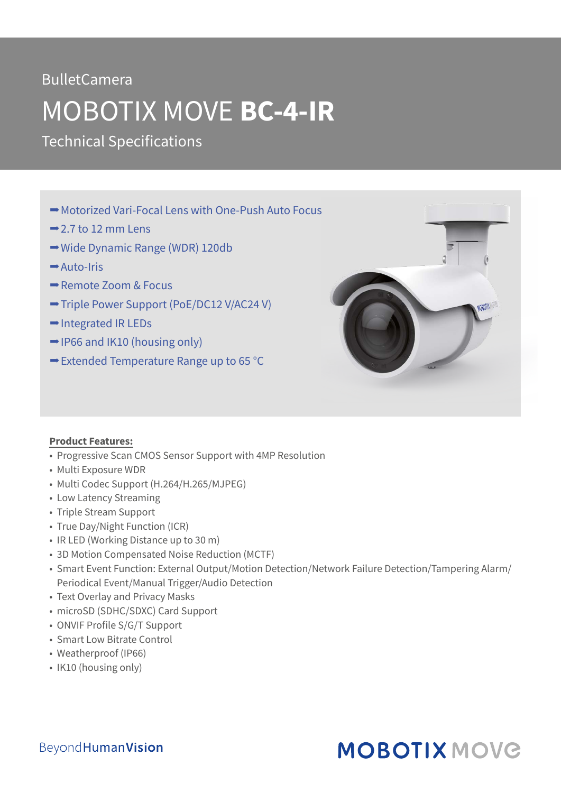### **BulletCamera**

# MOBOTIX MOVE **BC-4-IR**

Technical Specifications

- Motorized Vari-Focal Lens with One-Push Auto Focus
- $\rightarrow$  2.7 to 12 mm Lens
- **→ Wide Dynamic Range (WDR) 120db**
- Auto-Iris
- Remote Zoom & Focus
- Triple Power Support (PoE/DC12 V/AC24 V)
- **→ Integrated IR LEDs**
- $\rightarrow$  IP66 and IK10 (housing only)
- $\rightarrow$  **Extended Temperature Range up to 65 °C**



#### **Product Features:**

- Progressive Scan CMOS Sensor Support with 4MP Resolution
- Multi Exposure WDR
- Multi Codec Support (H.264/H.265/MJPEG)
- Low Latency Streaming
- Triple Stream Support
- True Day/Night Function (ICR)
- IR LED (Working Distance up to 30 m)
- 3D Motion Compensated Noise Reduction (MCTF)
- Smart Event Function: External Output/Motion Detection/Network Failure Detection/Tampering Alarm/ Periodical Event/Manual Trigger/Audio Detection
- Text Overlay and Privacy Masks
- microSD (SDHC/SDXC) Card Support
- ONVIF Profile S/G/T Support
- Smart Low Bitrate Control
- Weatherproof (IP66)
- IK10 (housing only)

### **MOBOTIX MOVG**

#### **BeyondHumanVision**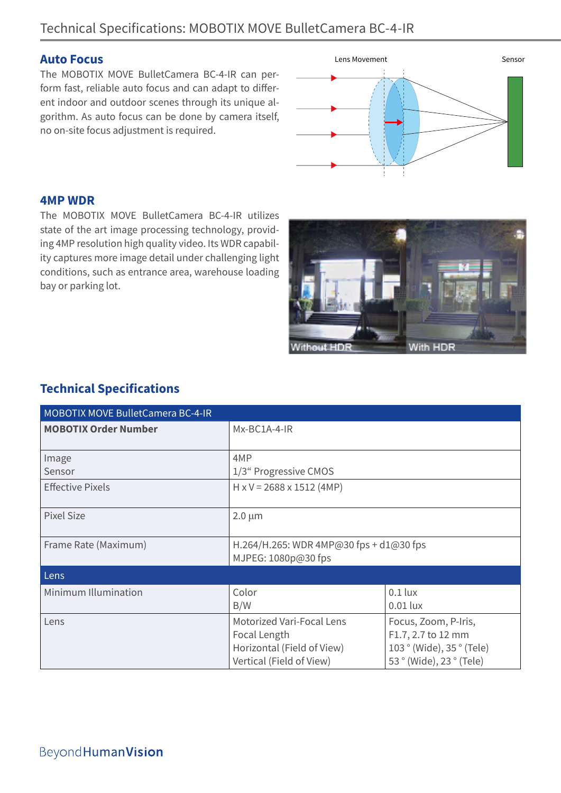#### **Auto Focus**

The MOBOTIX MOVE BulletCamera BC-4-IR can perform fast, reliable auto focus and can adapt to different indoor and outdoor scenes through its unique algorithm. As auto focus can be done by camera itself, no on-site focus adjustment is required.



#### **4MP WDR**

The MOBOTIX MOVE BulletCamera BC-4-IR utilizes state of the art image processing technology, providing 4MP resolution high quality video. Its WDR capability captures more image detail under challenging light conditions, such as entrance area, warehouse loading bay or parking lot.



#### **Technical Specifications**

| <b>MOBOTIX MOVE BulletCamera BC-4-IR</b> |                                                                  |                          |  |  |
|------------------------------------------|------------------------------------------------------------------|--------------------------|--|--|
| <b>MOBOTIX Order Number</b>              | Mx-BC1A-4-IR                                                     |                          |  |  |
|                                          |                                                                  |                          |  |  |
| Image                                    | 4MP                                                              |                          |  |  |
| Sensor                                   | 1/3" Progressive CMOS                                            |                          |  |  |
| <b>Effective Pixels</b>                  | $H \times V = 2688 \times 1512$ (4MP)                            |                          |  |  |
|                                          |                                                                  |                          |  |  |
| Pixel Size                               | $2.0 \mu m$                                                      |                          |  |  |
| Frame Rate (Maximum)                     | H.264/H.265: WDR 4MP@30 fps + $d1@30$ fps<br>MJPEG: 1080p@30 fps |                          |  |  |
| Lens                                     |                                                                  |                          |  |  |
| Minimum Illumination                     | Color                                                            | $0.1$ lux                |  |  |
|                                          | B/W                                                              | $0.01$ lux               |  |  |
| Lens                                     | Motorized Vari-Focal Lens                                        | Focus, Zoom, P-Iris,     |  |  |
|                                          | Focal Length                                                     | F1.7, 2.7 to 12 mm       |  |  |
|                                          | Horizontal (Field of View)                                       | 103° (Wide), 35° (Tele)  |  |  |
|                                          | Vertical (Field of View)                                         | 53 ° (Wide), 23 ° (Tele) |  |  |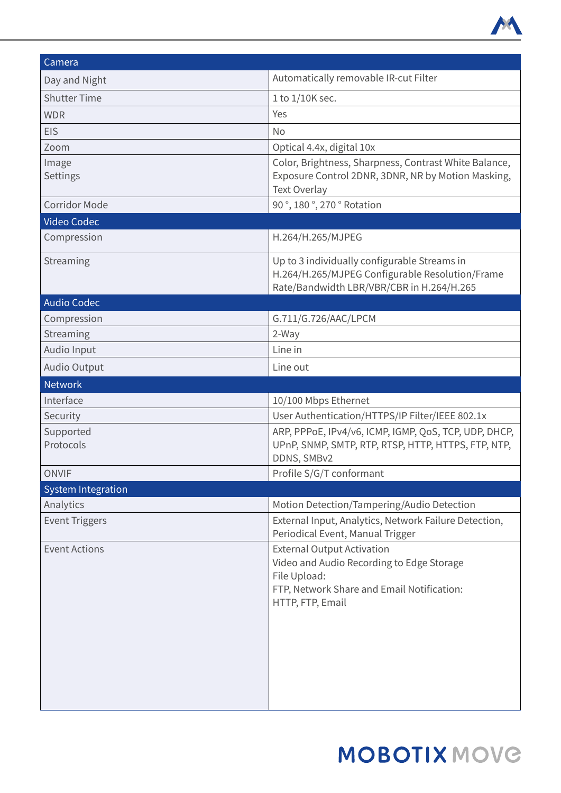

| Camera                             |                                                                                                                                                                  |  |
|------------------------------------|------------------------------------------------------------------------------------------------------------------------------------------------------------------|--|
| Day and Night                      | Automatically removable IR-cut Filter                                                                                                                            |  |
| <b>Shutter Time</b>                | 1 to 1/10K sec.                                                                                                                                                  |  |
| <b>WDR</b>                         | Yes                                                                                                                                                              |  |
| <b>EIS</b>                         | <b>No</b>                                                                                                                                                        |  |
| Zoom                               | Optical 4.4x, digital 10x                                                                                                                                        |  |
| Image<br>Settings                  | Color, Brightness, Sharpness, Contrast White Balance,<br>Exposure Control 2DNR, 3DNR, NR by Motion Masking,<br><b>Text Overlay</b>                               |  |
| <b>Corridor Mode</b>               | 90°, 180°, 270° Rotation                                                                                                                                         |  |
| Video Codec                        |                                                                                                                                                                  |  |
| Compression                        | H.264/H.265/MJPEG                                                                                                                                                |  |
| Streaming                          | Up to 3 individually configurable Streams in<br>H.264/H.265/MJPEG Configurable Resolution/Frame<br>Rate/Bandwidth LBR/VBR/CBR in H.264/H.265                     |  |
| <b>Audio Codec</b>                 |                                                                                                                                                                  |  |
| Compression                        | G.711/G.726/AAC/LPCM                                                                                                                                             |  |
| Streaming                          | 2-Way                                                                                                                                                            |  |
| Audio Input                        | Line in                                                                                                                                                          |  |
| <b>Audio Output</b>                | Line out                                                                                                                                                         |  |
| <b>Network</b>                     |                                                                                                                                                                  |  |
| Interface                          | 10/100 Mbps Ethernet                                                                                                                                             |  |
| Security                           | User Authentication/HTTPS/IP Filter/IEEE 802.1x                                                                                                                  |  |
| Supported<br>Protocols             | ARP, PPPOE, IPv4/v6, ICMP, IGMP, QoS, TCP, UDP, DHCP,<br>UPnP, SNMP, SMTP, RTP, RTSP, HTTP, HTTPS, FTP, NTP,<br>DDNS, SMBv2                                      |  |
| <b>ONVIF</b>                       | Profile S/G/T conformant                                                                                                                                         |  |
| <b>System Integration</b>          |                                                                                                                                                                  |  |
| Analytics<br><b>Event Triggers</b> | Motion Detection/Tampering/Audio Detection<br>External Input, Analytics, Network Failure Detection,<br>Periodical Event, Manual Trigger                          |  |
| <b>Event Actions</b>               | <b>External Output Activation</b><br>Video and Audio Recording to Edge Storage<br>File Upload:<br>FTP, Network Share and Email Notification:<br>HTTP, FTP, Email |  |

## **MOBOTIX MOVG**